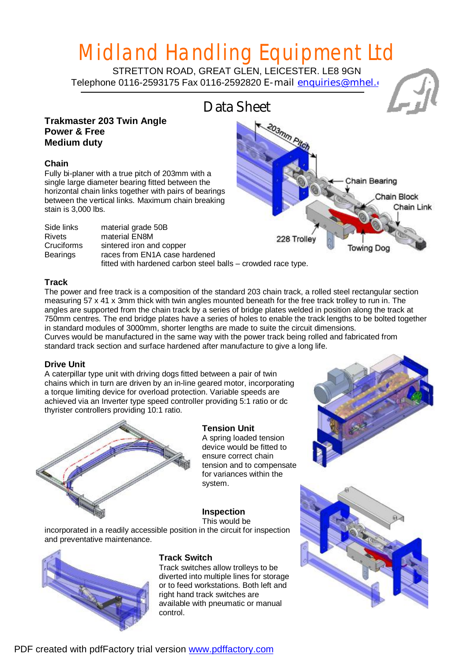# Midland Handling Equipment Ltd

STRETTON ROAD, GREAT GLEN, LEICESTER. LE8 9GN Telephone 0116-2593175 Fax 0116-2592820 E-mail enquiries@mhel.co



# **Track**

The power and free track is a composition of the standard 203 chain track, a rolled steel rectangular section measuring 57 x 41 x 3mm thick with twin angles mounted beneath for the free track trolley to run in. The angles are supported from the chain track by a series of bridge plates welded in position along the track at 750mm centres. The end bridge plates have a series of holes to enable the track lengths to be bolted together in standard modules of 3000mm, shorter lengths are made to suite the circuit dimensions. Curves would be manufactured in the same way with the power track being rolled and fabricated from standard track section and surface hardened after manufacture to give a long life.

# **Drive Unit**

A caterpillar type unit with driving dogs fitted between a pair of twin chains which in turn are driven by an in-line geared motor, incorporating a torque limiting device for overload protection. Variable speeds are achieved via an Inverter type speed controller providing 5:1 ratio or dc thyrister controllers providing 10:1 ratio.



# **Tension Unit**

A spring loaded tension device would be fitted to ensure correct chain tension and to compensate for variances within the system.

# **Inspection**

This would be

incorporated in a readily accessible position in the circuit for inspection and preventative maintenance.



## **Track Switch**

Track switches allow trolleys to be diverted into multiple lines for storage or to feed workstations. Both left and right hand track switches are available with pneumatic or manual control.